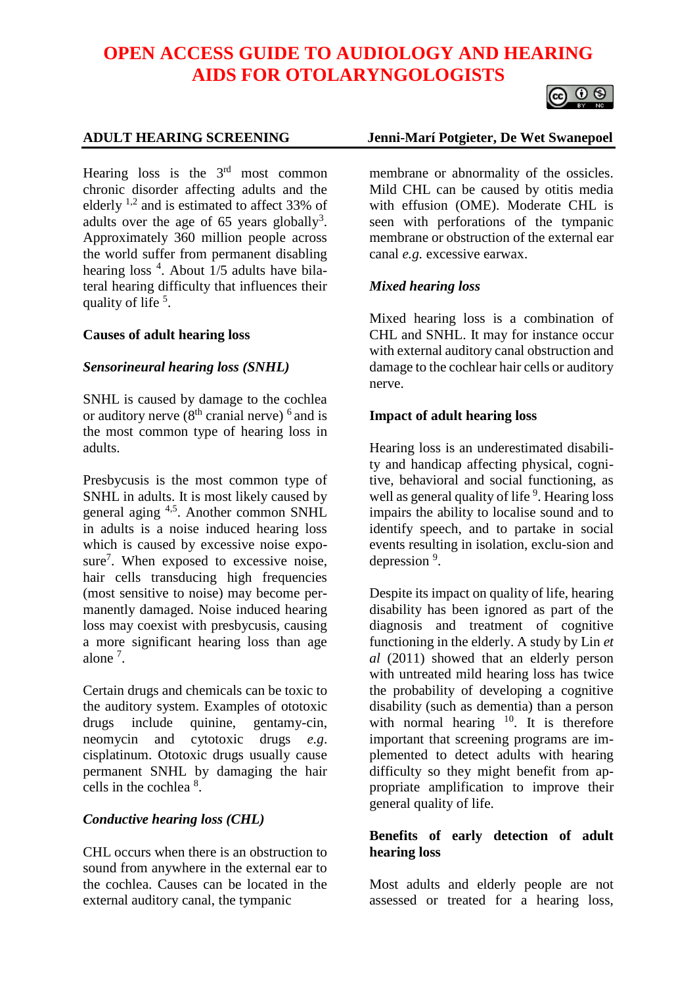# **OPEN ACCESS GUIDE TO AUDIOLOGY AND HEARING AIDS FOR OTOLARYNGOLOGISTS**



Hearing loss is the  $3<sup>rd</sup>$  most common chronic disorder affecting adults and the elderly  $^{1,2}$  and is estimated to affect 33% of adults over the age of 65 years globally<sup>3</sup>. Approximately 360 million people across the world suffer from permanent disabling hearing loss <sup>4</sup>. About 1/5 adults have bilateral hearing difficulty that influences their quality of life <sup>5</sup>.

#### **Causes of adult hearing loss**

#### *Sensorineural hearing loss (SNHL)*

SNHL is caused by damage to the cochlea or auditory nerve  $(8<sup>th</sup>$  cranial nerve)  $<sup>6</sup>$  and is</sup> the most common type of hearing loss in adults.

Presbycusis is the most common type of SNHL in adults. It is most likely caused by general aging 4,5. Another common SNHL in adults is a noise induced hearing loss which is caused by excessive noise exposure<sup>7</sup>. When exposed to excessive noise, hair cells transducing high frequencies (most sensitive to noise) may become permanently damaged. Noise induced hearing loss may coexist with presbycusis, causing a more significant hearing loss than age alone<sup>7</sup>.

Certain drugs and chemicals can be toxic to the auditory system. Examples of ototoxic drugs include quinine, gentamy-cin, neomycin and cytotoxic drugs *e.g*. cisplatinum. Ototoxic drugs usually cause permanent SNHL by damaging the hair cells in the cochlea <sup>8</sup>.

#### *Conductive hearing loss (CHL)*

CHL occurs when there is an obstruction to sound from anywhere in the external ear to the cochlea. Causes can be located in the external auditory canal, the tympanic

#### **ADULT HEARING SCREENING Jenni-Marí Potgieter, De Wet Swanepoel**

membrane or abnormality of the ossicles. Mild CHL can be caused by otitis media with effusion (OME). Moderate CHL is seen with perforations of the tympanic membrane or obstruction of the external ear canal *e.g.* excessive earwax.

#### *Mixed hearing loss*

Mixed hearing loss is a combination of CHL and SNHL. It may for instance occur with external auditory canal obstruction and damage to the cochlear hair cells or auditory nerve.

#### **Impact of adult hearing loss**

Hearing loss is an underestimated disability and handicap affecting physical, cognitive, behavioral and social functioning, as well as general quality of life<sup>9</sup>. Hearing loss impairs the ability to localise sound and to identify speech, and to partake in social events resulting in isolation, exclu-sion and depression<sup>9</sup>.

Despite its impact on quality of life, hearing disability has been ignored as part of the diagnosis and treatment of cognitive functioning in the elderly. A study by Lin *et al* (2011) showed that an elderly person with untreated mild hearing loss has twice the probability of developing a cognitive disability (such as dementia) than a person with normal hearing  $10$ . It is therefore important that screening programs are implemented to detect adults with hearing difficulty so they might benefit from appropriate amplification to improve their general quality of life.

#### **Benefits of early detection of adult hearing loss**

Most adults and elderly people are not assessed or treated for a hearing loss,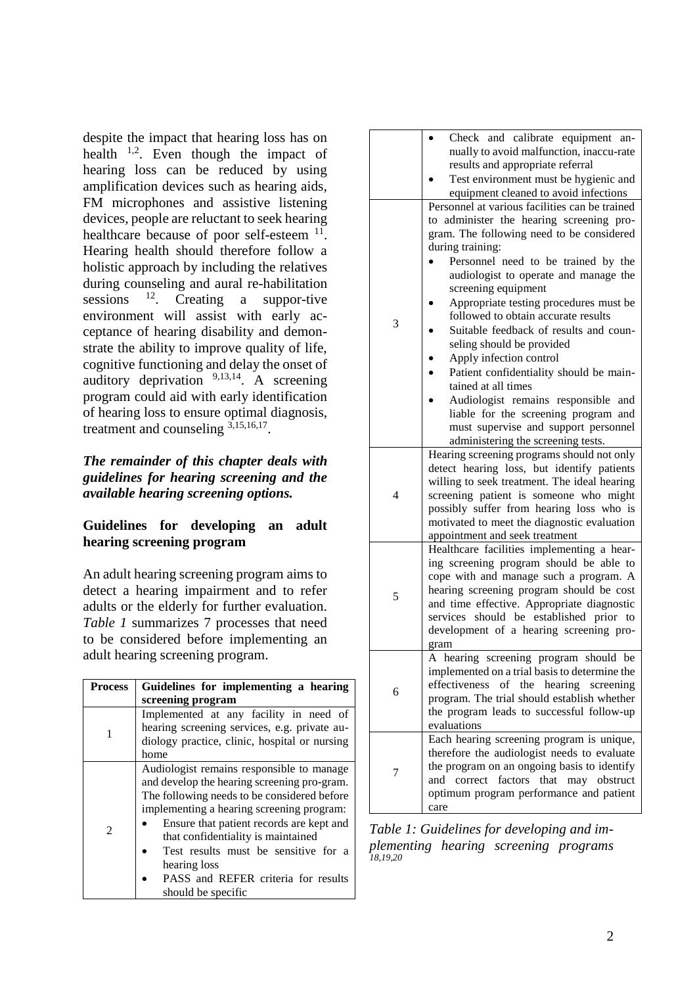despite the impact that hearing loss has on health  $1,2$ . Even though the impact of hearing loss can be reduced by using amplification devices such as hearing aids, FM microphones and assistive listening devices, people are reluctant to seek hearing healthcare because of poor self-esteem <sup>11</sup>. Hearing health should therefore follow a holistic approach by including the relatives during counseling and aural re-habilitation sessions <sup>12</sup>. Creating a suppor-tive environment will assist with early acceptance of hearing disability and demonstrate the ability to improve quality of life, cognitive functioning and delay the onset of auditory deprivation  $9,13,14$ . A screening program could aid with early identification of hearing loss to ensure optimal diagnosis, treatment and counseling 3,15,16,17.

# *The remainder of this chapter deals with guidelines for hearing screening and the available hearing screening options.*

#### **Guidelines for developing an adult hearing screening program**

An adult hearing screening program aims to detect a hearing impairment and to refer adults or the elderly for further evaluation. *Table 1* summarizes 7 processes that need to be considered before implementing an adult hearing screening program.

| <b>Process</b>              | Guidelines for implementing a hearing                                                                                                                                                                                                                                                                                                                                                       |  |  |  |  |  |
|-----------------------------|---------------------------------------------------------------------------------------------------------------------------------------------------------------------------------------------------------------------------------------------------------------------------------------------------------------------------------------------------------------------------------------------|--|--|--|--|--|
|                             | screening program                                                                                                                                                                                                                                                                                                                                                                           |  |  |  |  |  |
| 1                           | Implemented at any facility in need of<br>hearing screening services, e.g. private au-<br>diology practice, clinic, hospital or nursing<br>home                                                                                                                                                                                                                                             |  |  |  |  |  |
| $\mathcal{D}_{\mathcal{L}}$ | Audiologist remains responsible to manage<br>and develop the hearing screening pro-gram.<br>The following needs to be considered before<br>implementing a hearing screening program:<br>Ensure that patient records are kept and<br>that confidentiality is maintained<br>Test results must be sensitive for a<br>hearing loss<br>PASS and REFER criteria for results<br>should be specific |  |  |  |  |  |

|   | Check and calibrate equipment an-<br>nually to avoid malfunction, inaccu-rate<br>results and appropriate referral<br>Test environment must be hygienic and<br>equipment cleaned to avoid infections                                                                                                                                                                                                                                                                                                                                                                                                                                                                                     |
|---|-----------------------------------------------------------------------------------------------------------------------------------------------------------------------------------------------------------------------------------------------------------------------------------------------------------------------------------------------------------------------------------------------------------------------------------------------------------------------------------------------------------------------------------------------------------------------------------------------------------------------------------------------------------------------------------------|
| 3 | Personnel at various facilities can be trained<br>administer the hearing screening pro-<br>to<br>gram. The following need to be considered<br>during training:<br>Personnel need to be trained by the<br>audiologist to operate and manage the<br>screening equipment<br>Appropriate testing procedures must be<br>followed to obtain accurate results<br>Suitable feedback of results and coun-<br>seling should be provided<br>Apply infection control<br>Patient confidentiality should be main-<br>tained at all times<br>Audiologist remains responsible and<br>liable for the screening program and<br>must supervise and support personnel<br>administering the screening tests. |
| 4 | Hearing screening programs should not only<br>detect hearing loss, but identify patients<br>willing to seek treatment. The ideal hearing<br>screening patient is someone who might<br>possibly suffer from hearing loss who is<br>motivated to meet the diagnostic evaluation<br>appointment and seek treatment                                                                                                                                                                                                                                                                                                                                                                         |
| 5 | Healthcare facilities implementing a hear-<br>ing screening program should be able to<br>cope with and manage such a program. A<br>hearing screening program should be cost<br>and time effective. Appropriate diagnostic<br>services should be established prior to<br>development of a hearing screening pro-<br>gram                                                                                                                                                                                                                                                                                                                                                                 |
| 6 | A hearing screening program should be<br>implemented on a trial basis to determine the<br>effectiveness of the hearing screening<br>program. The trial should establish whether<br>the program leads to successful follow-up<br>evaluations                                                                                                                                                                                                                                                                                                                                                                                                                                             |
| 7 | Each hearing screening program is unique,<br>therefore the audiologist needs to evaluate<br>the program on an ongoing basis to identify<br>factors<br>correct<br>that<br>may<br>obstruct<br>and<br>optimum program performance and patient<br>care                                                                                                                                                                                                                                                                                                                                                                                                                                      |

*Table 1: Guidelines for developing and implementing hearing screening programs 18,19,20*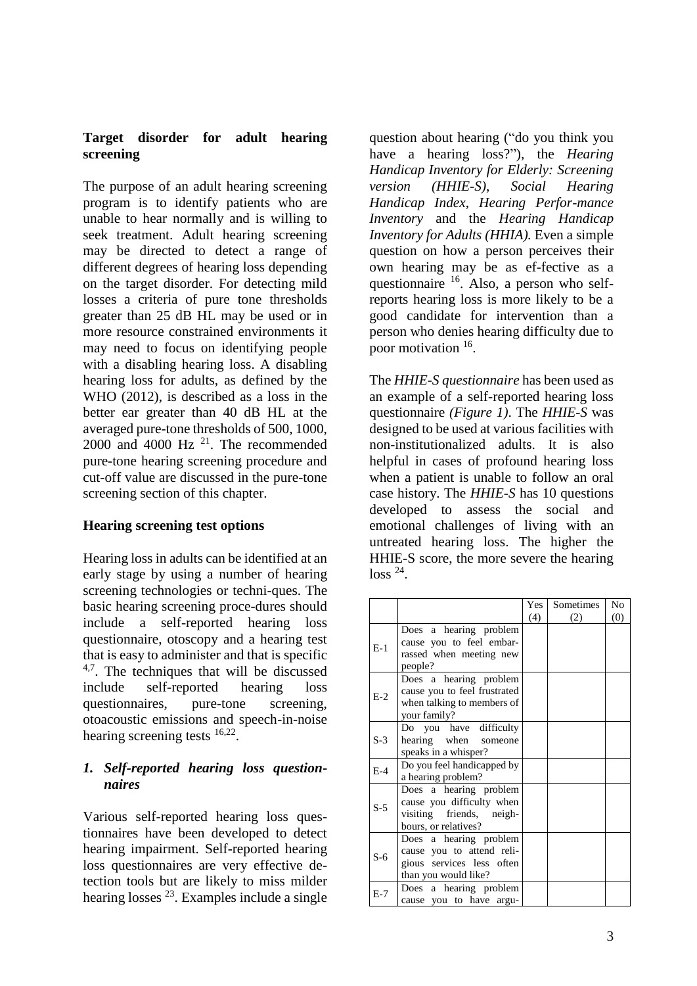# **Target disorder for adult hearing screening**

The purpose of an adult hearing screening program is to identify patients who are unable to hear normally and is willing to seek treatment. Adult hearing screening may be directed to detect a range of different degrees of hearing loss depending on the target disorder. For detecting mild losses a criteria of pure tone thresholds greater than 25 dB HL may be used or in more resource constrained environments it may need to focus on identifying people with a disabling hearing loss. A disabling hearing loss for adults, as defined by the WHO (2012), is described as a loss in the better ear greater than 40 dB HL at the averaged pure-tone thresholds of 500, 1000,  $2000$  and  $4000$  Hz  $^{21}$ . The recommended pure-tone hearing screening procedure and cut-off value are discussed in the pure-tone screening section of this chapter.

### **Hearing screening test options**

Hearing loss in adults can be identified at an early stage by using a number of hearing screening technologies or techni-ques. The basic hearing screening proce-dures should include a self-reported hearing loss questionnaire, otoscopy and a hearing test that is easy to administer and that is specific  $4.7$ . The techniques that will be discussed include self-reported hearing loss questionnaires, pure-tone screening, otoacoustic emissions and speech-in-noise hearing screening tests <sup>16,22</sup>.

#### *1. Self-reported hearing loss questionnaires*

Various self-reported hearing loss questionnaires have been developed to detect hearing impairment. Self-reported hearing loss questionnaires are very effective detection tools but are likely to miss milder hearing losses <sup>23</sup>. Examples include a single question about hearing ("do you think you have a hearing loss?"), the *Hearing Handicap Inventory for Elderly: Screening version (HHIE-S)*, *Social Hearing Handicap Index*, *Hearing Perfor-mance Inventory* and the *Hearing Handicap Inventory for Adults (HHIA).* Even a simple question on how a person perceives their own hearing may be as ef-fective as a questionnaire <sup>16</sup>. Also, a person who selfreports hearing loss is more likely to be a good candidate for intervention than a person who denies hearing difficulty due to poor motivation <sup>16</sup>.

The *HHIE-S questionnaire* has been used as an example of a self-reported hearing loss questionnaire *(Figure 1)*. The *HHIE-S* was designed to be used at various facilities with non-institutionalized adults. It is also helpful in cases of profound hearing loss when a patient is unable to follow an oral case history. The *HHIE-S* has 10 questions developed to assess the social and emotional challenges of living with an untreated hearing loss. The higher the HHIE-S score, the more severe the hearing  $loss$ <sup>24</sup>.

|       |                                                                                                          | Yes | Sometimes | No  |
|-------|----------------------------------------------------------------------------------------------------------|-----|-----------|-----|
|       |                                                                                                          | (4) | (2)       | (0) |
| $E-1$ | Does a hearing problem<br>cause you to feel embar-<br>rassed when meeting new<br>people?                 |     |           |     |
| $E-2$ | Does a hearing problem<br>cause you to feel frustrated<br>when talking to members of<br>your family?     |     |           |     |
| $S-3$ | Do you have difficulty<br>hearing when<br>someone<br>speaks in a whisper?                                |     |           |     |
| $E-4$ | Do you feel handicapped by<br>a hearing problem?                                                         |     |           |     |
| $S-5$ | Does a hearing problem<br>cause you difficulty when<br>visiting friends, neigh-<br>bours, or relatives?  |     |           |     |
| $S-6$ | Does a hearing problem<br>cause you to attend reli-<br>gious services less often<br>than you would like? |     |           |     |
| $E-7$ | Does a hearing problem<br>cause you to have argu-                                                        |     |           |     |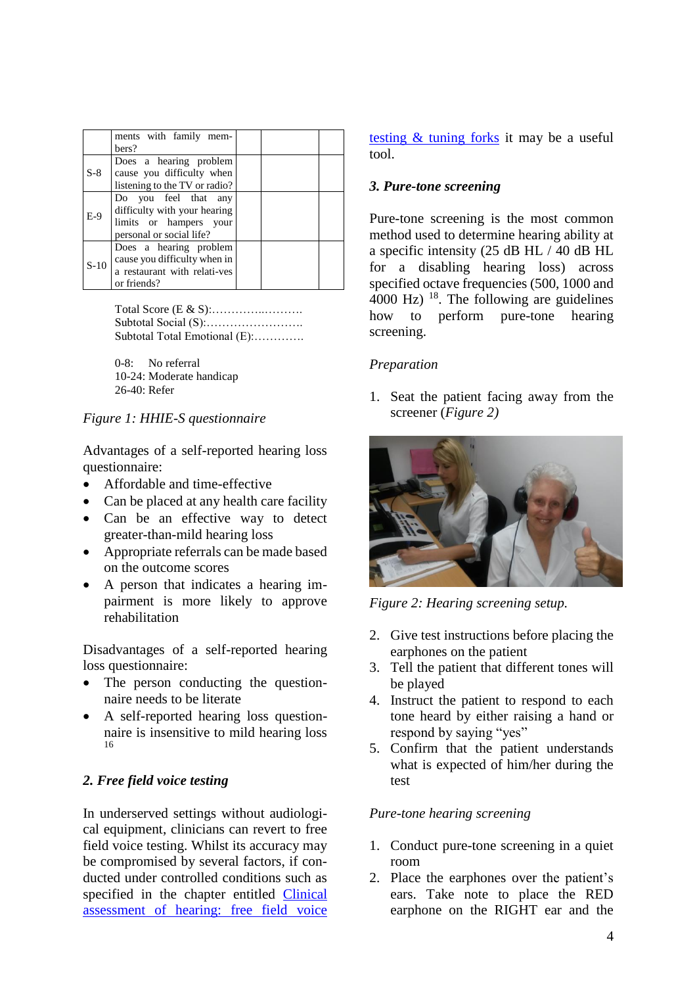|        | ments with family mem-<br>bers?                                                                            |  |  |
|--------|------------------------------------------------------------------------------------------------------------|--|--|
| $S-8$  | Does a hearing problem<br>cause you difficulty when<br>listening to the TV or radio?                       |  |  |
| $E-9$  | Do you feel that any<br>difficulty with your hearing<br>limits or hampers your<br>personal or social life? |  |  |
| $S-10$ | Does a hearing problem<br>cause you difficulty when in<br>a restaurant with relati-ves<br>or friends?      |  |  |

Total Score (E & S):…………..………. Subtotal Social (S):……………………. Subtotal Total Emotional (E):………….

0-8: No referral 10-24: Moderate handicap 26-40: Refer

#### *Figure 1: HHIE-S questionnaire*

Advantages of a self-reported hearing loss questionnaire:

- Affordable and time-effective
- Can be placed at any health care facility
- Can be an effective way to detect greater-than-mild hearing loss
- Appropriate referrals can be made based on the outcome scores
- A person that indicates a hearing impairment is more likely to approve rehabilitation

Disadvantages of a self-reported hearing loss questionnaire:

- The person conducting the questionnaire needs to be literate
- A self-reported hearing loss questionnaire is insensitive to mild hearing loss 16

# *2. Free field voice testing*

In underserved settings without audiological equipment, clinicians can revert to free field voice testing. Whilst its accuracy may be compromised by several factors, if conducted under controlled conditions such as specified in the chapter entitled [Clinical](https://vula.uct.ac.za/access/content/group/27b5cb1b-1b65-4280-9437-a9898ddd4c40/Clinical%20assessment%20of%20hearing%20with%20free%20field%20voice%20testing%20and%20tuning%20forks.pdf)  [assessment of hearing: free field voice](https://vula.uct.ac.za/access/content/group/27b5cb1b-1b65-4280-9437-a9898ddd4c40/Clinical%20assessment%20of%20hearing%20with%20free%20field%20voice%20testing%20and%20tuning%20forks.pdf) 

[testing & tuning forks](https://vula.uct.ac.za/access/content/group/27b5cb1b-1b65-4280-9437-a9898ddd4c40/Clinical%20assessment%20of%20hearing%20with%20free%20field%20voice%20testing%20and%20tuning%20forks.pdf) it may be a useful tool.

#### *3. Pure-tone screening*

Pure-tone screening is the most common method used to determine hearing ability at a specific intensity (25 dB HL / 40 dB HL for a disabling hearing loss) across specified octave frequencies (500, 1000 and 4000 Hz)  $^{18}$ . The following are guidelines how to perform pure-tone hearing screening.

#### *Preparation*

1. Seat the patient facing away from the screener (*Figure 2)*



*Figure 2: Hearing screening setup.*

- 2. Give test instructions before placing the earphones on the patient
- 3. Tell the patient that different tones will be played
- 4. Instruct the patient to respond to each tone heard by either raising a hand or respond by saying "yes"
- 5. Confirm that the patient understands what is expected of him/her during the test

### *Pure-tone hearing screening*

- 1. Conduct pure-tone screening in a quiet room
- 2. Place the earphones over the patient's ears. Take note to place the RED earphone on the RIGHT ear and the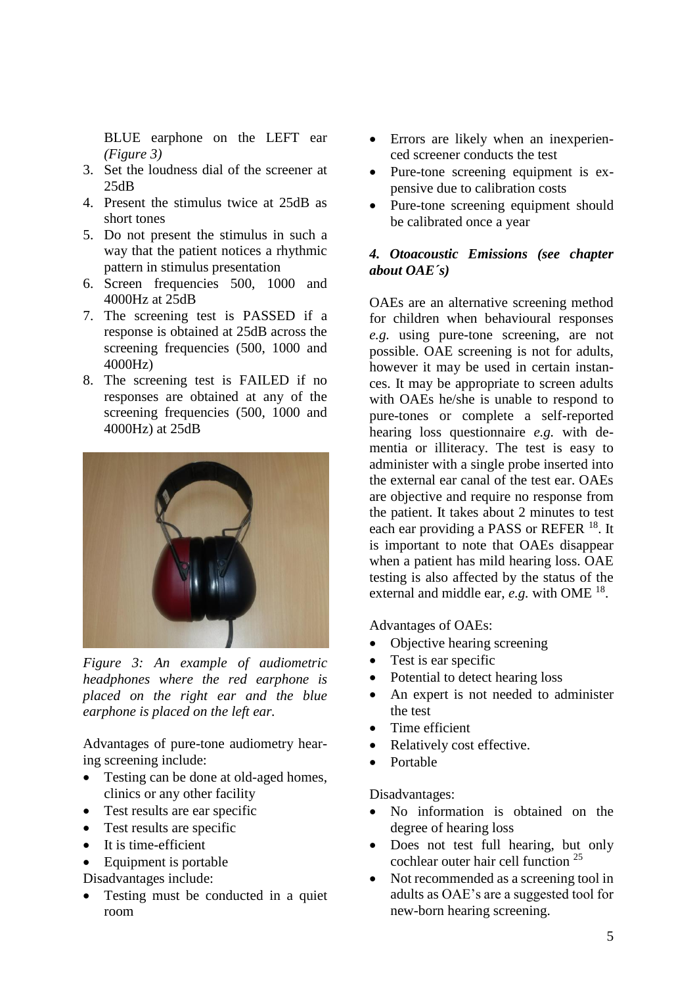BLUE earphone on the LEFT ear *(Figure 3)*

- 3. Set the loudness dial of the screener at 25dB
- 4. Present the stimulus twice at 25dB as short tones
- 5. Do not present the stimulus in such a way that the patient notices a rhythmic pattern in stimulus presentation
- 6. Screen frequencies 500, 1000 and 4000Hz at 25dB
- 7. The screening test is PASSED if a response is obtained at 25dB across the screening frequencies (500, 1000 and 4000Hz)
- 8. The screening test is FAILED if no responses are obtained at any of the screening frequencies (500, 1000 and 4000Hz) at 25dB



*Figure 3: An example of audiometric headphones where the red earphone is placed on the right ear and the blue earphone is placed on the left ear.*

Advantages of pure-tone audiometry hearing screening include:

- Testing can be done at old-aged homes, clinics or any other facility
- Test results are ear specific
- Test results are specific
- It is time-efficient
- Equipment is portable

Disadvantages include:

• Testing must be conducted in a quiet room

- Errors are likely when an inexperienced screener conducts the test
- Pure-tone screening equipment is expensive due to calibration costs
- Pure-tone screening equipment should be calibrated once a year

#### *4. Otoacoustic Emissions (see chapter about OAE´s)*

OAEs are an alternative screening method for children when behavioural responses *e.g.* using pure-tone screening, are not possible. OAE screening is not for adults, however it may be used in certain instances. It may be appropriate to screen adults with OAEs he/she is unable to respond to pure-tones or complete a self-reported hearing loss questionnaire *e.g.* with dementia or illiteracy. The test is easy to administer with a single probe inserted into the external ear canal of the test ear. OAEs are objective and require no response from the patient. It takes about 2 minutes to test each ear providing a PASS or REFER <sup>18</sup>. It is important to note that OAEs disappear when a patient has mild hearing loss. OAE testing is also affected by the status of the external and middle ear, *e.g.* with OME<sup>18</sup>.

Advantages of OAEs:

- Objective hearing screening
- Test is ear specific
- Potential to detect hearing loss
- An expert is not needed to administer the test
- Time efficient
- Relatively cost effective.
- Portable

Disadvantages:

- No information is obtained on the degree of hearing loss
- Does not test full hearing, but only cochlear outer hair cell function <sup>25</sup>
- Not recommended as a screening tool in adults as OAE's are a suggested tool for new-born hearing screening.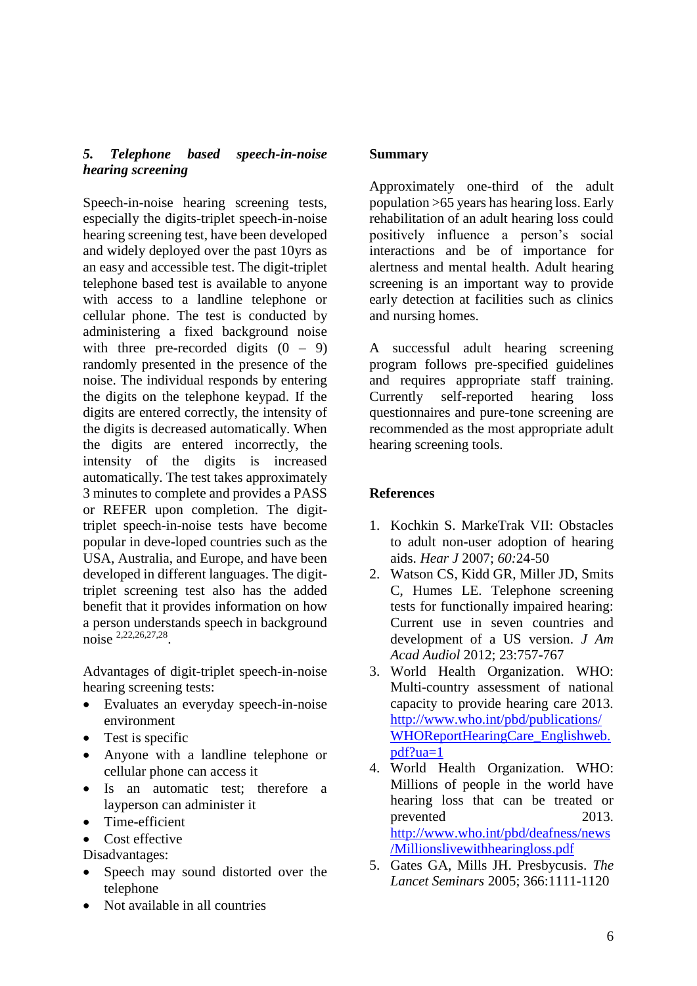### *5. Telephone based speech-in-noise hearing screening*

Speech-in-noise hearing screening tests, especially the digits-triplet speech-in-noise hearing screening test, have been developed and widely deployed over the past 10yrs as an easy and accessible test. The digit-triplet telephone based test is available to anyone with access to a landline telephone or cellular phone. The test is conducted by administering a fixed background noise with three pre-recorded digits  $(0 - 9)$ randomly presented in the presence of the noise. The individual responds by entering the digits on the telephone keypad. If the digits are entered correctly, the intensity of the digits is decreased automatically. When the digits are entered incorrectly, the intensity of the digits is increased automatically. The test takes approximately 3 minutes to complete and provides a PASS or REFER upon completion. The digittriplet speech-in-noise tests have become popular in deve-loped countries such as the USA, Australia, and Europe, and have been developed in different languages. The digittriplet screening test also has the added benefit that it provides information on how a person understands speech in background noise <sup>2,22,26,27,28</sup>.

Advantages of digit-triplet speech-in-noise hearing screening tests:

- Evaluates an everyday speech-in-noise environment
- Test is specific
- Anyone with a landline telephone or cellular phone can access it
- Is an automatic test; therefore a layperson can administer it
- Time-efficient
- Cost effective

Disadvantages:

- Speech may sound distorted over the telephone
- Not available in all countries

#### **Summary**

Approximately one-third of the adult population >65 years has hearing loss. Early rehabilitation of an adult hearing loss could positively influence a person's social interactions and be of importance for alertness and mental health. Adult hearing screening is an important way to provide early detection at facilities such as clinics and nursing homes.

A successful adult hearing screening program follows pre-specified guidelines and requires appropriate staff training. Currently self-reported hearing loss questionnaires and pure-tone screening are recommended as the most appropriate adult hearing screening tools.

# **References**

- 1. Kochkin S. MarkeTrak VII: Obstacles to adult non-user adoption of hearing aids. *Hear J* 2007; *60:*24-50
- 2. Watson CS, Kidd GR, Miller JD, Smits C, Humes LE. Telephone screening tests for functionally impaired hearing: Current use in seven countries and development of a US version. *J Am Acad Audiol* 2012; 23:757-767
- 3. World Health Organization. WHO: Multi-country assessment of national capacity to provide hearing care 2013. [http://www.who.int/pbd/publications/](http://www.who.int/pbd/publications/WHOReportHearingCare_Englishweb.pdf?ua=1) [WHOReportHearingCare\\_Englishweb.](http://www.who.int/pbd/publications/WHOReportHearingCare_Englishweb.pdf?ua=1) [pdf?ua=1](http://www.who.int/pbd/publications/WHOReportHearingCare_Englishweb.pdf?ua=1)
- 4. World Health Organization. WHO: Millions of people in the world have hearing loss that can be treated or prevented 2013. [http://www.who.int/pbd/deafness/news](http://www.who.int/pbd/deafness/news/Millionslivewithhearingloss.pdf) [/Millionslivewithhearingloss.pdf](http://www.who.int/pbd/deafness/news/Millionslivewithhearingloss.pdf)
- 5. Gates GA, Mills JH. Presbycusis. *The Lancet Seminars* 2005; 366:1111-1120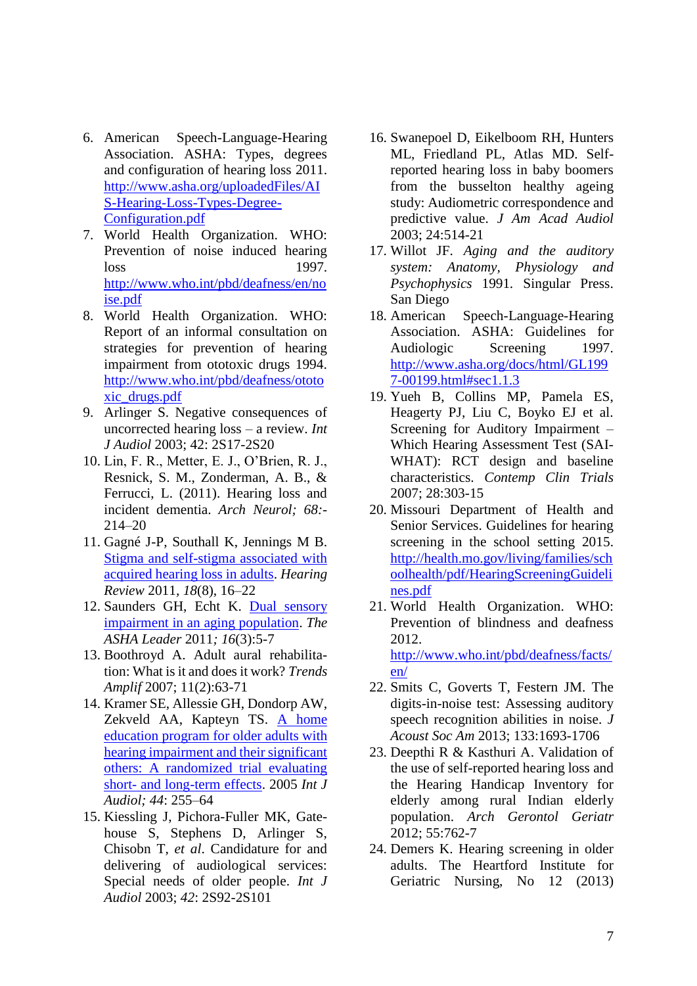- 6. American Speech-Language-Hearing Association. ASHA: Types, degrees and configuration of hearing loss 2011. [http://www.asha.org/uploadedFiles/AI](http://www.asha.org/uploadedFiles/AIS-Hearing-Loss-Types-Degree-Configuration.pdf) [S-Hearing-Loss-Types-Degree-](http://www.asha.org/uploadedFiles/AIS-Hearing-Loss-Types-Degree-Configuration.pdf)[Configuration.pdf](http://www.asha.org/uploadedFiles/AIS-Hearing-Loss-Types-Degree-Configuration.pdf)
- 7. World Health Organization. WHO: Prevention of noise induced hearing loss 1997. [http://www.who.int/pbd/deafness/en/no](http://www.who.int/pbd/deafness/en/noise.pdf) [ise.pdf](http://www.who.int/pbd/deafness/en/noise.pdf)
- 8. World Health Organization. WHO: Report of an informal consultation on strategies for prevention of hearing impairment from ototoxic drugs 1994. [http://www.who.int/pbd/deafness/ototo](http://www.who.int/pbd/deafness/ototoxic_drugs.pdf) [xic\\_drugs.pdf](http://www.who.int/pbd/deafness/ototoxic_drugs.pdf)
- 9. Arlinger S. Negative consequences of uncorrected hearing loss – a review. *Int J Audiol* 2003; 42: 2S17-2S20
- 10. Lin, F. R., Metter, E. J., O'Brien, R. J., Resnick, S. M., Zonderman, A. B., & Ferrucci, L. (2011). Hearing loss and incident dementia. *Arch Neurol; 68:-* 214–20
- 11. Gagné J-P, Southall K, Jennings M B. [Stigma and self-stigma associated with](http://www.hearingreview.com/issues/articles/2011-08_02.asp)  [acquired hearing loss in adults.](http://www.hearingreview.com/issues/articles/2011-08_02.asp) *Hearing Review* 2011*, 18*(8), 16–22
- 12. Saunders GH, Echt K. [Dual sensory](http://leader.pubs.asha.org/article.aspx?articleid=2279013)  [impairment in an aging population.](http://leader.pubs.asha.org/article.aspx?articleid=2279013) *The ASHA Leader* 2011*; 16*(3):5-7
- 13. Boothroyd A. Adult aural rehabilitation: What is it and does it work? *Trends Amplif* 2007; 11(2):63-71
- 14. Kramer SE, Allessie GH, Dondorp AW, Zekveld AA, Kapteyn TS. A home [education program for older adults with](http://www.ncbi.nlm.nih.gov/pubmed?term=hearing%20loss%20and%20significant%20others%2C%20kramer)  [hearing impairment and their significant](http://www.ncbi.nlm.nih.gov/pubmed?term=hearing%20loss%20and%20significant%20others%2C%20kramer)  [others: A randomized trial evaluating](http://www.ncbi.nlm.nih.gov/pubmed?term=hearing%20loss%20and%20significant%20others%2C%20kramer)  short- [and long-term effects.](http://www.ncbi.nlm.nih.gov/pubmed?term=hearing%20loss%20and%20significant%20others%2C%20kramer) 2005 *Int J Audiol; 44*: 255–64
- 15. Kiessling J, Pichora-Fuller MK, Gatehouse S, Stephens D, Arlinger S, Chisobn T, *et al*. Candidature for and delivering of audiological services: Special needs of older people. *Int J Audiol* 2003; *42*: 2S92-2S101
- 16. Swanepoel D, Eikelboom RH, Hunters ML, Friedland PL, Atlas MD. Selfreported hearing loss in baby boomers from the busselton healthy ageing study: Audiometric correspondence and predictive value. *J Am Acad Audiol*  2003; 24:514-21
- 17. Willot JF. *Aging and the auditory system: Anatomy, Physiology and Psychophysics* 1991*.* Singular Press. San Diego
- 18. American Speech-Language-Hearing Association. ASHA: Guidelines for Audiologic Screening 1997. [http://www.asha.org/docs/html/GL199](http://www.asha.org/docs/html/GL1997-00199.html#sec1.1.3) [7-00199.html#sec1.1.3](http://www.asha.org/docs/html/GL1997-00199.html#sec1.1.3)
- 19. Yueh B, Collins MP, Pamela ES, Heagerty PJ, Liu C, Boyko EJ et al. Screening for Auditory Impairment – Which Hearing Assessment Test (SAI-WHAT): RCT design and baseline characteristics. *Contemp Clin Trials* 2007; 28:303-15
- 20. Missouri Department of Health and Senior Services. Guidelines for hearing screening in the school setting 2015. [http://health.mo.gov/living/families/sch](http://health.mo.gov/living/families/schoolhealth/pdf/HearingScreeningGuidelines.pdf) [oolhealth/pdf/HearingScreeningGuideli](http://health.mo.gov/living/families/schoolhealth/pdf/HearingScreeningGuidelines.pdf) [nes.pdf](http://health.mo.gov/living/families/schoolhealth/pdf/HearingScreeningGuidelines.pdf)
- 21. World Health Organization. WHO: Prevention of blindness and deafness 2012. [http://www.who.int/pbd/deafness/facts/](http://www.who.int/pbd/deafness/facts/en/) [en/](http://www.who.int/pbd/deafness/facts/en/)
- 22. Smits C, Goverts T, Festern JM. The digits-in-noise test: Assessing auditory speech recognition abilities in noise. *J Acoust Soc Am* 2013; 133:1693-1706
- 23. Deepthi R & Kasthuri A. Validation of the use of self-reported hearing loss and the Hearing Handicap Inventory for elderly among rural Indian elderly population. *Arch Gerontol Geriatr* 2012; 55:762-7
- 24. Demers K. Hearing screening in older adults. The Heartford Institute for Geriatric Nursing, No 12 (2013)